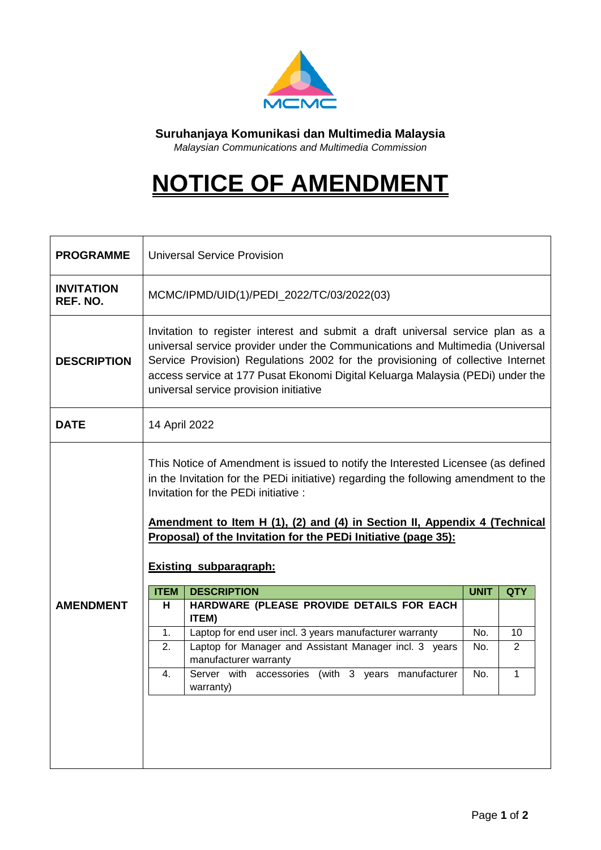

**Suruhanjaya Komunikasi dan Multimedia Malaysia**

*Malaysian Communications and Multimedia Commission*

## **NOTICE OF AMENDMENT**

| <b>PROGRAMME</b>              |                                                                                                                                                                                                                                                                                                                                                                                                | <b>Universal Service Provision</b>                                                                                                                                                                                                                                                                                                                                             |             |                |  |  |
|-------------------------------|------------------------------------------------------------------------------------------------------------------------------------------------------------------------------------------------------------------------------------------------------------------------------------------------------------------------------------------------------------------------------------------------|--------------------------------------------------------------------------------------------------------------------------------------------------------------------------------------------------------------------------------------------------------------------------------------------------------------------------------------------------------------------------------|-------------|----------------|--|--|
| <b>INVITATION</b><br>REF. NO. |                                                                                                                                                                                                                                                                                                                                                                                                | MCMC/IPMD/UID(1)/PEDI_2022/TC/03/2022(03)                                                                                                                                                                                                                                                                                                                                      |             |                |  |  |
| <b>DESCRIPTION</b>            |                                                                                                                                                                                                                                                                                                                                                                                                | Invitation to register interest and submit a draft universal service plan as a<br>universal service provider under the Communications and Multimedia (Universal<br>Service Provision) Regulations 2002 for the provisioning of collective Internet<br>access service at 177 Pusat Ekonomi Digital Keluarga Malaysia (PEDi) under the<br>universal service provision initiative |             |                |  |  |
| DATE                          | 14 April 2022                                                                                                                                                                                                                                                                                                                                                                                  |                                                                                                                                                                                                                                                                                                                                                                                |             |                |  |  |
|                               | This Notice of Amendment is issued to notify the Interested Licensee (as defined<br>in the Invitation for the PEDi initiative) regarding the following amendment to the<br>Invitation for the PEDi initiative:<br>Amendment to Item H (1), (2) and (4) in Section II, Appendix 4 (Technical<br>Proposal) of the Invitation for the PEDi Initiative (page 35):<br><b>Existing subparagraph:</b> |                                                                                                                                                                                                                                                                                                                                                                                |             |                |  |  |
|                               | <b>ITEM</b>                                                                                                                                                                                                                                                                                                                                                                                    | <b>DESCRIPTION</b>                                                                                                                                                                                                                                                                                                                                                             | <b>UNIT</b> | <b>QTY</b>     |  |  |
| <b>AMENDMENT</b>              | н                                                                                                                                                                                                                                                                                                                                                                                              | HARDWARE (PLEASE PROVIDE DETAILS FOR EACH<br>ITEM)                                                                                                                                                                                                                                                                                                                             |             |                |  |  |
|                               | 1.                                                                                                                                                                                                                                                                                                                                                                                             | Laptop for end user incl. 3 years manufacturer warranty                                                                                                                                                                                                                                                                                                                        | No.         | 10             |  |  |
|                               | 2.                                                                                                                                                                                                                                                                                                                                                                                             | Laptop for Manager and Assistant Manager incl. 3 years<br>manufacturer warranty                                                                                                                                                                                                                                                                                                | No.         | $\overline{2}$ |  |  |
|                               | 4.                                                                                                                                                                                                                                                                                                                                                                                             | Server with accessories (with 3 years manufacturer<br>warranty)                                                                                                                                                                                                                                                                                                                | No.         | $\mathbf{1}$   |  |  |
|                               |                                                                                                                                                                                                                                                                                                                                                                                                |                                                                                                                                                                                                                                                                                                                                                                                |             |                |  |  |